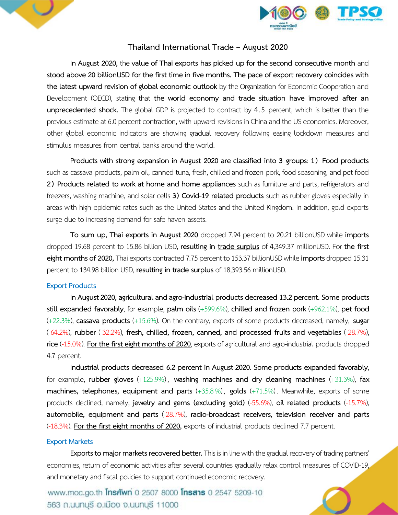



## **Thailand International Trade – August 2020**

**In August 2020,** the **value of Thai exports has picked up for the second consecutive month** and **stood above 20 billionUSD for the first time in five months. The pace of export recovery coincides with the latest upward revision of global economic outlook** by the Organization for Economic Cooperation and Development (OECD), stating that **the world economy and trade situation have improved after an unprecedented shock.** The global GDP is projected to contract by 4.5 percent, which is better than the previous estimate at 6.0 percent contraction, with upward revisions in China and the US economies. Moreover, other global economic indicators are showing gradual recovery following easing lockdown measures and stimulus measures from central banks around the world.

**Products with strong expansion in August 2020 are classified into 3 groups**: **1) Food products** such as cassava products, palm oil, canned tuna, fresh, chilled and frozen pork, food seasoning, and pet food **2) Products related to work at home and home appliances** such as furniture and parts, refrigerators and freezers, washing machine, and solar cells **3) Covid-19 related products** such as rubber gloves especially in areas with high epidemic rates such as the United States and the United Kingdom. In addition, gold exports surge due to increasing demand for safe-haven assets.

**To sum up, Thai exports in August 2020** dropped 7.94 percent to 20.21 billionUSD while **imports** dropped 19.68 percent to 15.86 billion USD, **resulting in trade surplus** of 4,349.37 millionUSD. For **the first eightmonths of 2020,** Thai exports contracted 7.75 percent to 153.37 billionUSD while **imports** dropped 15.31 percent to 134.98 billion USD, resulting in trade surplus of 18,393.56 millionUSD.

#### **Export Products**

**In August2020, agricultural and agro-industrial products decreased 13.2 percent. Some products still expanded favorably**, for example, **palm oils** (+599.6%), **chilled and frozen pork** (+962.1%), **pet food** (+22.3%), **cassava products** (+15.6%). On the contrary, exports of some products decreased, namely, **sugar** (-64.2%), **rubber** (-32.2%), **fresh, chilled, frozen, canned, and processed fruits and vegetables** (-28.7%), **rice** (-15.0%). For the first eight months of 2020, exports of agricultural and agro-industrial products dropped 4.7 percent.

**Industrial products decreased 6.2 percent in August2020. Some products expanded favorably**, for example, **rubber gloves** (+125.9%) , **washing machines and dry cleaning machines** (+31.3%), **fax machines, telephones, equipment and parts** (+35.8%), **golds** (+71.5%) . Meanwhile, exports of some products declined, namely, **jewelry and gems (excluding gold)** (-55.6%), **oil related products** (-15.7%), **automobile, equipment and parts** (-28.7%), **radio-broadcast receivers, television receiver and parts** (-18.3%). **For the first eight months of 2020,** exports of industrial products declined 7.7 percent.

#### **Export Markets**

**Exports to major markets recovered better.**This is in line with the gradual recovery of trading partners' economies, return of economic activities after several countries gradually relax control measures of COVID-19, and monetary and fiscal policies to support continued economic recovery.

www.moc.go.th **Insnwn** 0 2507 8000 **Insans** 0 2547 5209-10 563 ก.นนทบุรี อ.เมือง จ.นนทบุรี 11000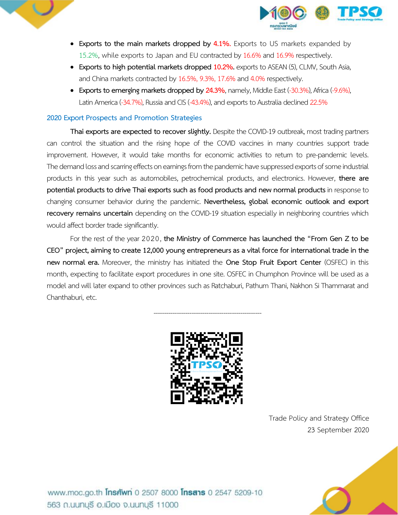



- **Exports to the main markets dropped by 4.1%.** Exports to US markets expanded by 15.2%, while exports to Japan and EU contracted by 16.6% and 16.9% respectively.
- **Exports to high potential markets dropped 10.2%.** exports to ASEAN (5), CLMV, South Asia, and China markets contracted by 16.5%, 9.3%, 17.6% and 4.0% respectively.
- **Exports to emerging markets dropped by 24.3%**, namely, Middle East (-30.3%), Africa (-9.6%), Latin America (-34.7%), Russia and CIS (-43.4%), and exports to Australia declined 22.5%

## **2020 Export Prospects and Promotion Strategies**

**Thai exports are expected to recover slightly.** Despite the COVID-19 outbreak, most trading partners can control the situation and the rising hope of the COVID vaccines in many countries support trade improvement. However, it would take months for economic activities to return to pre-pandemic levels. The demand loss and scarring effects on earnings from the pandemic have suppressed exports of some industrial products in this year such as automobiles, petrochemical products, and electronics. However, **there are potential products to drive Thai exports such as food products and new normal products** in response to changing consumer behavior during the pandemic. **Nevertheless, global economic outlook and export recovery remains uncertain** depending on the COVID-19 situation especially in neighboring countries which would affect border trade significantly.

For the rest of the year 2020, **the Ministry of Commerce has launched the "From Gen Z to be CEO" project, aiming to create 12,000 youngentrepreneurs as a vital force for international trade in the new normal era.** Moreover, the ministry has initiated the **One Stop Fruit Export Center** (OSFEC) in this month, expecting to facilitate export procedures in one site. OSFEC in Chumphon Province will be used as a model and will later expand to other provinces such as Ratchaburi, Pathum Thani, Nakhon Si Thammarat and Chanthaburi, etc.

---------------------------------------------------



Trade Policy and Strategy Office 23 September 2020